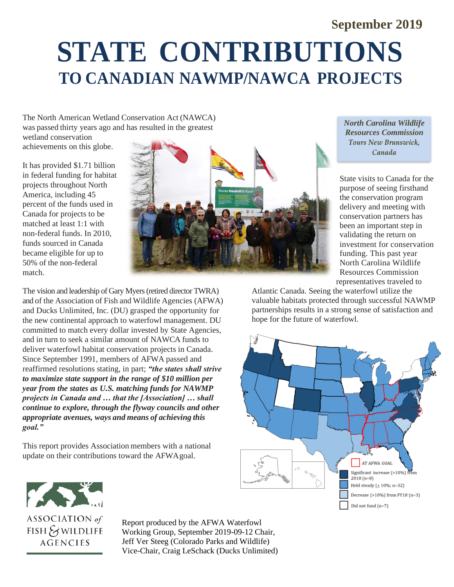# **September 2019 STATE CONTRIBUTIONS TO CANADIAN NAWMP/NAWCA PROJECTS**

The North American Wetland Conservation Act (NAWCA) was passed thirty years ago and has resulted in the greatest

wetland conservation achievements on this globe.

It has provided \$1.71 billion in federal funding for habitat projects throughout North America, including 45 percent of the funds used in Canada for projects to be matched at least 1:1 with non-federal funds. In 2010, funds sourced in Canada became eligible for up to 50% of the non-federal match.



The vision and leadership of Gary Myers (retired director TWRA) and of the Association of Fish and Wildlife Agencies (AFWA) and Ducks Unlimited, Inc. (DU) grasped the opportunity for the new continental approach to waterfowl management. DU committed to match every dollar invested by State Agencies, and in turn to seek a similar amount of NAWCA funds to deliver waterfowl habitat conservation projects in Canada. Since September 1991, members of AFWA passed and reaffirmed resolutions stating, in part; *"the states shall strive to maximize state support in the range of \$10 million per year from the states as U.S. matching funds for NAWMP projects in Canada and … that the [Association] … shall continue to explore, through the flyway councils and other appropriate avenues, ways and means of achieving this goal."*

This report provides Association members with a national update on their contributions toward the AFWAgoal.

*North Carolina Wildlife Resources Commission* Tours New Brunswick, Canada

State visits to Canada for the purpose of seeing firsthand the conservation program delivery and meeting with conservation partners has been an important step in validating the return on investment for conservation funding. This past year North Carolina Wildlife Resources Commission representatives traveled to

Atlantic Canada. Seeing the waterfowl utilize the valuable habitats protected through successful NAWMP partnerships results in a strong sense of satisfaction and hope for the future of waterfowl.





Report produced by the AFWA Waterfowl Working Group, September 2019-09-12 Chair, Jeff Ver Steeg (Colorado Parks and Wildlife) Vice-Chair, Craig LeSchack (Ducks Unlimited)